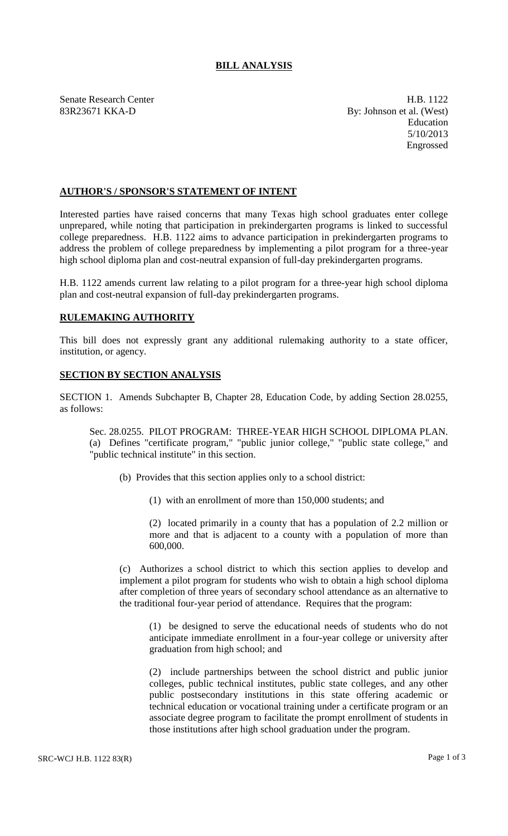## **BILL ANALYSIS**

Senate Research Center **H.B. 1122** 83R23671 KKA-D By: Johnson et al. (West) Education 5/10/2013 Engrossed

## **AUTHOR'S / SPONSOR'S STATEMENT OF INTENT**

Interested parties have raised concerns that many Texas high school graduates enter college unprepared, while noting that participation in prekindergarten programs is linked to successful college preparedness. H.B. 1122 aims to advance participation in prekindergarten programs to address the problem of college preparedness by implementing a pilot program for a three-year high school diploma plan and cost-neutral expansion of full-day prekindergarten programs.

H.B. 1122 amends current law relating to a pilot program for a three-year high school diploma plan and cost-neutral expansion of full-day prekindergarten programs.

## **RULEMAKING AUTHORITY**

This bill does not expressly grant any additional rulemaking authority to a state officer, institution, or agency.

## **SECTION BY SECTION ANALYSIS**

SECTION 1. Amends Subchapter B, Chapter 28, Education Code, by adding Section 28.0255, as follows:

Sec. 28.0255. PILOT PROGRAM: THREE-YEAR HIGH SCHOOL DIPLOMA PLAN. (a) Defines "certificate program," "public junior college," "public state college," and "public technical institute" in this section.

- (b) Provides that this section applies only to a school district:
	- (1) with an enrollment of more than 150,000 students; and

(2) located primarily in a county that has a population of 2.2 million or more and that is adjacent to a county with a population of more than 600,000.

(c) Authorizes a school district to which this section applies to develop and implement a pilot program for students who wish to obtain a high school diploma after completion of three years of secondary school attendance as an alternative to the traditional four-year period of attendance. Requires that the program:

(1) be designed to serve the educational needs of students who do not anticipate immediate enrollment in a four-year college or university after graduation from high school; and

(2) include partnerships between the school district and public junior colleges, public technical institutes, public state colleges, and any other public postsecondary institutions in this state offering academic or technical education or vocational training under a certificate program or an associate degree program to facilitate the prompt enrollment of students in those institutions after high school graduation under the program.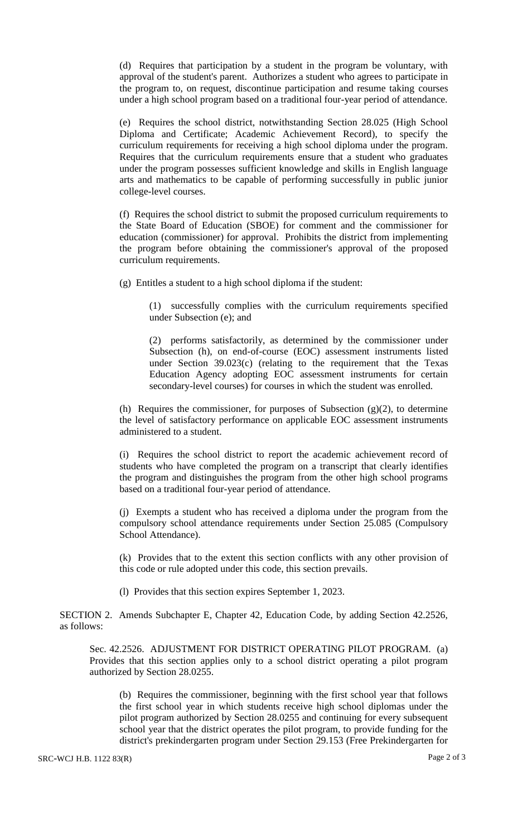(d) Requires that participation by a student in the program be voluntary, with approval of the student's parent. Authorizes a student who agrees to participate in the program to, on request, discontinue participation and resume taking courses under a high school program based on a traditional four-year period of attendance.

(e) Requires the school district, notwithstanding Section 28.025 (High School Diploma and Certificate; Academic Achievement Record), to specify the curriculum requirements for receiving a high school diploma under the program. Requires that the curriculum requirements ensure that a student who graduates under the program possesses sufficient knowledge and skills in English language arts and mathematics to be capable of performing successfully in public junior college-level courses.

(f) Requires the school district to submit the proposed curriculum requirements to the State Board of Education (SBOE) for comment and the commissioner for education (commissioner) for approval. Prohibits the district from implementing the program before obtaining the commissioner's approval of the proposed curriculum requirements.

(g) Entitles a student to a high school diploma if the student:

(1) successfully complies with the curriculum requirements specified under Subsection (e); and

(2) performs satisfactorily, as determined by the commissioner under Subsection (h), on end-of-course (EOC) assessment instruments listed under Section 39.023(c) (relating to the requirement that the Texas Education Agency adopting EOC assessment instruments for certain secondary-level courses) for courses in which the student was enrolled.

(h) Requires the commissioner, for purposes of Subsection  $(g)(2)$ , to determine the level of satisfactory performance on applicable EOC assessment instruments administered to a student.

(i) Requires the school district to report the academic achievement record of students who have completed the program on a transcript that clearly identifies the program and distinguishes the program from the other high school programs based on a traditional four-year period of attendance.

(j) Exempts a student who has received a diploma under the program from the compulsory school attendance requirements under Section 25.085 (Compulsory School Attendance).

(k) Provides that to the extent this section conflicts with any other provision of this code or rule adopted under this code, this section prevails.

(l) Provides that this section expires September 1, 2023.

SECTION 2. Amends Subchapter E, Chapter 42, Education Code, by adding Section 42.2526, as follows:

Sec. 42.2526. ADJUSTMENT FOR DISTRICT OPERATING PILOT PROGRAM. (a) Provides that this section applies only to a school district operating a pilot program authorized by Section 28.0255.

(b) Requires the commissioner, beginning with the first school year that follows the first school year in which students receive high school diplomas under the pilot program authorized by Section 28.0255 and continuing for every subsequent school year that the district operates the pilot program, to provide funding for the district's prekindergarten program under Section 29.153 (Free Prekindergarten for